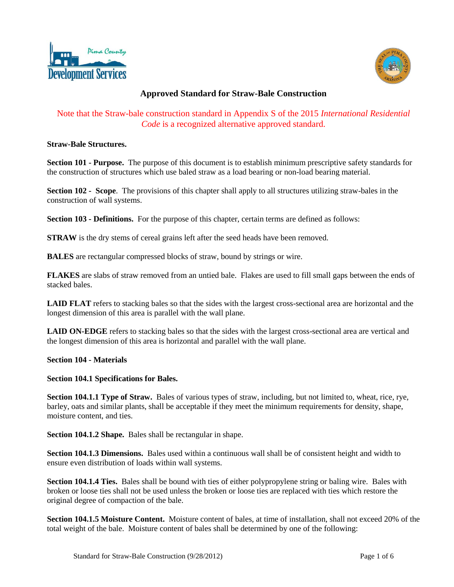



# **Approved Standard for Straw-Bale Construction**

## Note that the Straw-bale construction standard in Appendix S of the 2015 *International Residential Code* is a recognized alternative approved standard.

### **Straw-Bale Structures.**

**Section 101 - Purpose.** The purpose of this document is to establish minimum prescriptive safety standards for the construction of structures which use baled straw as a load bearing or non-load bearing material.

**Section 102 - Scope**. The provisions of this chapter shall apply to all structures utilizing straw-bales in the construction of wall systems.

**Section 103 - Definitions.** For the purpose of this chapter, certain terms are defined as follows:

**STRAW** is the dry stems of cereal grains left after the seed heads have been removed.

**BALES** are rectangular compressed blocks of straw, bound by strings or wire.

**FLAKES** are slabs of straw removed from an untied bale. Flakes are used to fill small gaps between the ends of stacked bales.

LAID FLAT refers to stacking bales so that the sides with the largest cross-sectional area are horizontal and the longest dimension of this area is parallel with the wall plane.

**LAID ON-EDGE** refers to stacking bales so that the sides with the largest cross-sectional area are vertical and the longest dimension of this area is horizontal and parallel with the wall plane.

#### **Section 104 - Materials**

#### **Section 104.1 Specifications for Bales.**

**Section 104.1.1 Type of Straw.** Bales of various types of straw, including, but not limited to, wheat, rice, rye, barley, oats and similar plants, shall be acceptable if they meet the minimum requirements for density, shape, moisture content, and ties.

**Section 104.1.2 Shape.** Bales shall be rectangular in shape.

**Section 104.1.3 Dimensions.** Bales used within a continuous wall shall be of consistent height and width to ensure even distribution of loads within wall systems.

**Section 104.1.4 Ties.** Bales shall be bound with ties of either polypropylene string or baling wire. Bales with broken or loose ties shall not be used unless the broken or loose ties are replaced with ties which restore the original degree of compaction of the bale.

**Section 104.1.5 Moisture Content.** Moisture content of bales, at time of installation, shall not exceed 20% of the total weight of the bale. Moisture content of bales shall be determined by one of the following: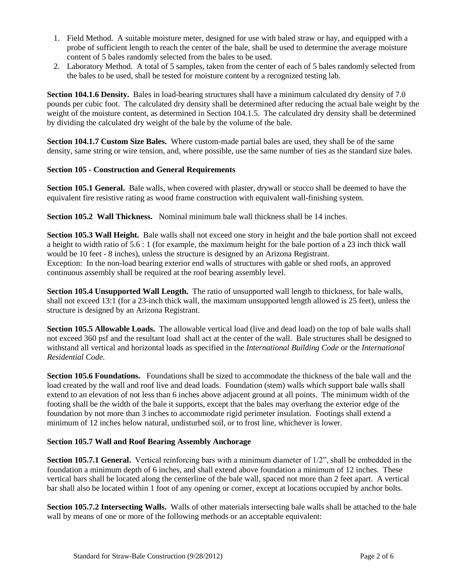- 1. Field Method. A suitable moisture meter, designed for use with baled straw or hay, and equipped with a probe of sufficient length to reach the center of the bale, shall be used to determine the average moisture content of 5 bales randomly selected from the bales to be used.
- 2. Laboratory Method. A total of 5 samples, taken from the center of each of 5 bales randomly selected from the bales to be used, shall be tested for moisture content by a recognized testing lab.

**Section 104.1.6 Density.** Bales in load-bearing structures shall have a minimum calculated dry density of 7.0 pounds per cubic foot. The calculated dry density shall be determined after reducing the actual bale weight by the weight of the moisture content, as determined in Section 104.1.5. The calculated dry density shall be determined by dividing the calculated dry weight of the bale by the volume of the bale.

**Section 104.1.7 Custom Size Bales.** Where custom-made partial bales are used, they shall be of the same density, same string or wire tension, and, where possible, use the same number of ties as the standard size bales.

## **Section 105 - Construction and General Requirements**

**Section 105.1 General.** Bale walls, when covered with plaster, drywall or stucco shall be deemed to have the equivalent fire resistive rating as wood frame construction with equivalent wall-finishing system.

**Section 105.2 Wall Thickness.** Nominal minimum bale wall thickness shall be 14 inches.

**Section 105.3 Wall Height.** Bale walls shall not exceed one story in height and the bale portion shall not exceed a height to width ratio of 5.6 : 1 (for example, the maximum height for the bale portion of a 23 inch thick wall would be 10 feet - 8 inches), unless the structure is designed by an Arizona Registrant. Exception: In the non-load bearing exterior end walls of structures with gable or shed roofs, an approved continuous assembly shall be required at the roof bearing assembly level.

**Section 105.4 Unsupported Wall Length.** The ratio of unsupported wall length to thickness, for bale walls, shall not exceed 13:1 (for a 23-inch thick wall, the maximum unsupported length allowed is 25 feet), unless the structure is designed by an Arizona Registrant.

**Section 105.5 Allowable Loads.** The allowable vertical load (live and dead load) on the top of bale walls shall not exceed 360 psf and the resultant load shall act at the center of the wall. Bale structures shall be designed to withstand all vertical and horizontal loads as specified in the *International Building Code* or the *International Residential Code.*

**Section 105.6 Foundations.** Foundations shall be sized to accommodate the thickness of the bale wall and the load created by the wall and roof live and dead loads. Foundation (stem) walls which support bale walls shall extend to an elevation of not less than 6 inches above adjacent ground at all points. The minimum width of the footing shall be the width of the bale it supports, except that the bales may overhang the exterior edge of the foundation by not more than 3 inches to accommodate rigid perimeter insulation. Footings shall extend a minimum of 12 inches below natural, undisturbed soil, or to frost line, whichever is lower.

## **Section 105.7 Wall and Roof Bearing Assembly Anchorage**

**Section 105.7.1 General.** Vertical reinforcing bars with a minimum diameter of  $1/2$ ", shall be embedded in the foundation a minimum depth of 6 inches, and shall extend above foundation a minimum of 12 inches. These vertical bars shall be located along the centerline of the bale wall, spaced not more than 2 feet apart. A vertical bar shall also be located within 1 foot of any opening or corner, except at locations occupied by anchor bolts.

**Section 105.7.2 Intersecting Walls.** Walls of other materials intersecting bale walls shall be attached to the bale wall by means of one or more of the following methods or an acceptable equivalent: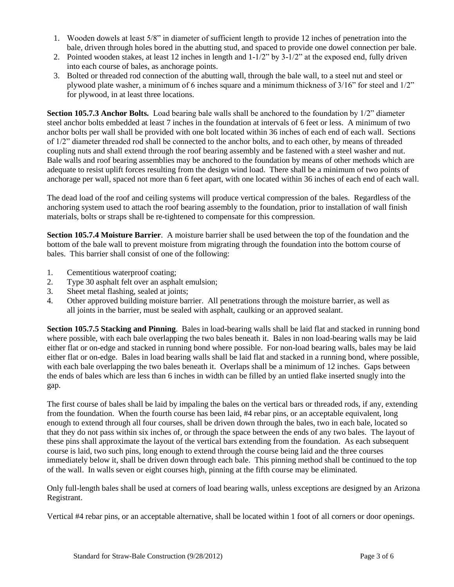- 1. Wooden dowels at least 5/8" in diameter of sufficient length to provide 12 inches of penetration into the bale, driven through holes bored in the abutting stud, and spaced to provide one dowel connection per bale.
- 2. Pointed wooden stakes, at least 12 inches in length and 1-1/2" by 3-1/2" at the exposed end, fully driven into each course of bales, as anchorage points.
- 3. Bolted or threaded rod connection of the abutting wall, through the bale wall, to a steel nut and steel or plywood plate washer, a minimum of 6 inches square and a minimum thickness of 3/16" for steel and 1/2" for plywood, in at least three locations.

**Section 105.7.3 Anchor Bolts.** Load bearing bale walls shall be anchored to the foundation by 1/2" diameter steel anchor bolts embedded at least 7 inches in the foundation at intervals of 6 feet or less. A minimum of two anchor bolts per wall shall be provided with one bolt located within 36 inches of each end of each wall. Sections of 1/2" diameter threaded rod shall be connected to the anchor bolts, and to each other, by means of threaded coupling nuts and shall extend through the roof bearing assembly and be fastened with a steel washer and nut. Bale walls and roof bearing assemblies may be anchored to the foundation by means of other methods which are adequate to resist uplift forces resulting from the design wind load. There shall be a minimum of two points of anchorage per wall, spaced not more than 6 feet apart, with one located within 36 inches of each end of each wall.

The dead load of the roof and ceiling systems will produce vertical compression of the bales. Regardless of the anchoring system used to attach the roof bearing assembly to the foundation, prior to installation of wall finish materials, bolts or straps shall be re-tightened to compensate for this compression.

**Section 105.7.4 Moisture Barrier**. A moisture barrier shall be used between the top of the foundation and the bottom of the bale wall to prevent moisture from migrating through the foundation into the bottom course of bales. This barrier shall consist of one of the following:

- 1. Cementitious waterproof coating;
- 2. Type 30 asphalt felt over an asphalt emulsion;
- 3. Sheet metal flashing, sealed at joints;
- 4. Other approved building moisture barrier. All penetrations through the moisture barrier, as well as all joints in the barrier, must be sealed with asphalt, caulking or an approved sealant.

**Section 105.7.5 Stacking and Pinning**. Bales in load-bearing walls shall be laid flat and stacked in running bond where possible, with each bale overlapping the two bales beneath it. Bales in non load-bearing walls may be laid either flat or on-edge and stacked in running bond where possible. For non-load bearing walls, bales may be laid either flat or on-edge. Bales in load bearing walls shall be laid flat and stacked in a running bond, where possible, with each bale overlapping the two bales beneath it. Overlaps shall be a minimum of 12 inches. Gaps between the ends of bales which are less than 6 inches in width can be filled by an untied flake inserted snugly into the gap.

The first course of bales shall be laid by impaling the bales on the vertical bars or threaded rods, if any, extending from the foundation. When the fourth course has been laid, #4 rebar pins, or an acceptable equivalent, long enough to extend through all four courses, shall be driven down through the bales, two in each bale, located so that they do not pass within six inches of, or through the space between the ends of any two bales. The layout of these pins shall approximate the layout of the vertical bars extending from the foundation. As each subsequent course is laid, two such pins, long enough to extend through the course being laid and the three courses immediately below it, shall be driven down through each bale. This pinning method shall be continued to the top of the wall. In walls seven or eight courses high, pinning at the fifth course may be eliminated.

Only full-length bales shall be used at corners of load bearing walls, unless exceptions are designed by an Arizona Registrant.

Vertical #4 rebar pins, or an acceptable alternative, shall be located within 1 foot of all corners or door openings.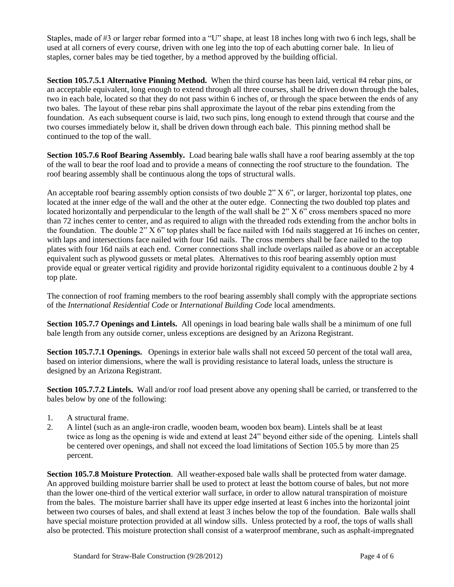Staples, made of #3 or larger rebar formed into a "U" shape, at least 18 inches long with two 6 inch legs, shall be used at all corners of every course, driven with one leg into the top of each abutting corner bale. In lieu of staples, corner bales may be tied together, by a method approved by the building official.

**Section 105.7.5.1 Alternative Pinning Method.** When the third course has been laid, vertical #4 rebar pins, or an acceptable equivalent, long enough to extend through all three courses, shall be driven down through the bales, two in each bale, located so that they do not pass within 6 inches of, or through the space between the ends of any two bales. The layout of these rebar pins shall approximate the layout of the rebar pins extending from the foundation. As each subsequent course is laid, two such pins, long enough to extend through that course and the two courses immediately below it, shall be driven down through each bale. This pinning method shall be continued to the top of the wall.

**Section 105.7.6 Roof Bearing Assembly.** Load bearing bale walls shall have a roof bearing assembly at the top of the wall to bear the roof load and to provide a means of connecting the roof structure to the foundation. The roof bearing assembly shall be continuous along the tops of structural walls.

An acceptable roof bearing assembly option consists of two double 2" X 6", or larger, horizontal top plates, one located at the inner edge of the wall and the other at the outer edge. Connecting the two doubled top plates and located horizontally and perpendicular to the length of the wall shall be 2" X 6" cross members spaced no more than 72 inches center to center, and as required to align with the threaded rods extending from the anchor bolts in the foundation. The double  $2^{\prime\prime} X 6^{\prime\prime}$  top plates shall be face nailed with 16d nails staggered at 16 inches on center, with laps and intersections face nailed with four 16d nails. The cross members shall be face nailed to the top plates with four 16d nails at each end. Corner connections shall include overlaps nailed as above or an acceptable equivalent such as plywood gussets or metal plates. Alternatives to this roof bearing assembly option must provide equal or greater vertical rigidity and provide horizontal rigidity equivalent to a continuous double 2 by 4 top plate.

The connection of roof framing members to the roof bearing assembly shall comply with the appropriate sections of the *International Residential Code* or *International Building Code* local amendments.

**Section 105.7.7 Openings and Lintels.** All openings in load bearing bale walls shall be a minimum of one full bale length from any outside corner, unless exceptions are designed by an Arizona Registrant.

**Section 105.7.7.1 Openings.** Openings in exterior bale walls shall not exceed 50 percent of the total wall area, based on interior dimensions, where the wall is providing resistance to lateral loads, unless the structure is designed by an Arizona Registrant.

**Section 105.7.7.2 Lintels.** Wall and/or roof load present above any opening shall be carried, or transferred to the bales below by one of the following:

- 1. A structural frame.
- 2. A lintel (such as an angle-iron cradle, wooden beam, wooden box beam). Lintels shall be at least twice as long as the opening is wide and extend at least 24" beyond either side of the opening. Lintels shall be centered over openings, and shall not exceed the load limitations of Section 105.5 by more than 25 percent.

**Section 105.7.8 Moisture Protection**. All weather-exposed bale walls shall be protected from water damage. An approved building moisture barrier shall be used to protect at least the bottom course of bales, but not more than the lower one-third of the vertical exterior wall surface, in order to allow natural transpiration of moisture from the bales. The moisture barrier shall have its upper edge inserted at least 6 inches into the horizontal joint between two courses of bales, and shall extend at least 3 inches below the top of the foundation. Bale walls shall have special moisture protection provided at all window sills. Unless protected by a roof, the tops of walls shall also be protected. This moisture protection shall consist of a waterproof membrane, such as asphalt-impregnated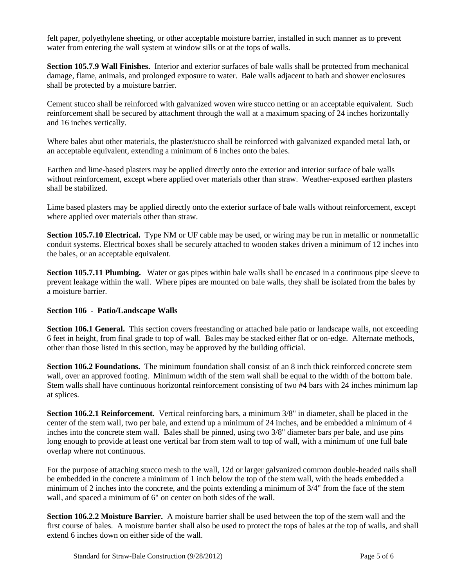felt paper, polyethylene sheeting, or other acceptable moisture barrier, installed in such manner as to prevent water from entering the wall system at window sills or at the tops of walls.

**Section 105.7.9 Wall Finishes.** Interior and exterior surfaces of bale walls shall be protected from mechanical damage, flame, animals, and prolonged exposure to water. Bale walls adjacent to bath and shower enclosures shall be protected by a moisture barrier.

Cement stucco shall be reinforced with galvanized woven wire stucco netting or an acceptable equivalent. Such reinforcement shall be secured by attachment through the wall at a maximum spacing of 24 inches horizontally and 16 inches vertically.

Where bales abut other materials, the plaster/stucco shall be reinforced with galvanized expanded metal lath, or an acceptable equivalent, extending a minimum of 6 inches onto the bales.

Earthen and lime-based plasters may be applied directly onto the exterior and interior surface of bale walls without reinforcement, except where applied over materials other than straw.Weather-exposed earthen plasters shall be stabilized.

Lime based plasters may be applied directly onto the exterior surface of bale walls without reinforcement, except where applied over materials other than straw.

**Section 105.7.10 Electrical.** Type NM or UF cable may be used, or wiring may be run in metallic or nonmetallic conduit systems. Electrical boxes shall be securely attached to wooden stakes driven a minimum of 12 inches into the bales, or an acceptable equivalent.

**Section 105.7.11 Plumbing.** Water or gas pipes within bale walls shall be encased in a continuous pipe sleeve to prevent leakage within the wall. Where pipes are mounted on bale walls, they shall be isolated from the bales by a moisture barrier.

## **Section 106 - Patio/Landscape Walls**

**Section 106.1 General.** This section covers freestanding or attached bale patio or landscape walls, not exceeding 6 feet in height, from final grade to top of wall. Bales may be stacked either flat or on-edge. Alternate methods, other than those listed in this section, may be approved by the building official.

**Section 106.2 Foundations.** The minimum foundation shall consist of an 8 inch thick reinforced concrete stem wall, over an approved footing. Minimum width of the stem wall shall be equal to the width of the bottom bale. Stem walls shall have continuous horizontal reinforcement consisting of two #4 bars with 24 inches minimum lap at splices.

**Section 106.2.1 Reinforcement.** Vertical reinforcing bars, a minimum 3/8" in diameter, shall be placed in the center of the stem wall, two per bale, and extend up a minimum of 24 inches, and be embedded a minimum of 4 inches into the concrete stem wall. Bales shall be pinned, using two 3/8" diameter bars per bale, and use pins long enough to provide at least one vertical bar from stem wall to top of wall, with a minimum of one full bale overlap where not continuous.

For the purpose of attaching stucco mesh to the wall, 12d or larger galvanized common double-headed nails shall be embedded in the concrete a minimum of 1 inch below the top of the stem wall, with the heads embedded a minimum of 2 inches into the concrete, and the points extending a minimum of 3/4" from the face of the stem wall, and spaced a minimum of 6" on center on both sides of the wall.

**Section 106.2.2 Moisture Barrier.** A moisture barrier shall be used between the top of the stem wall and the first course of bales. A moisture barrier shall also be used to protect the tops of bales at the top of walls, and shall extend 6 inches down on either side of the wall.